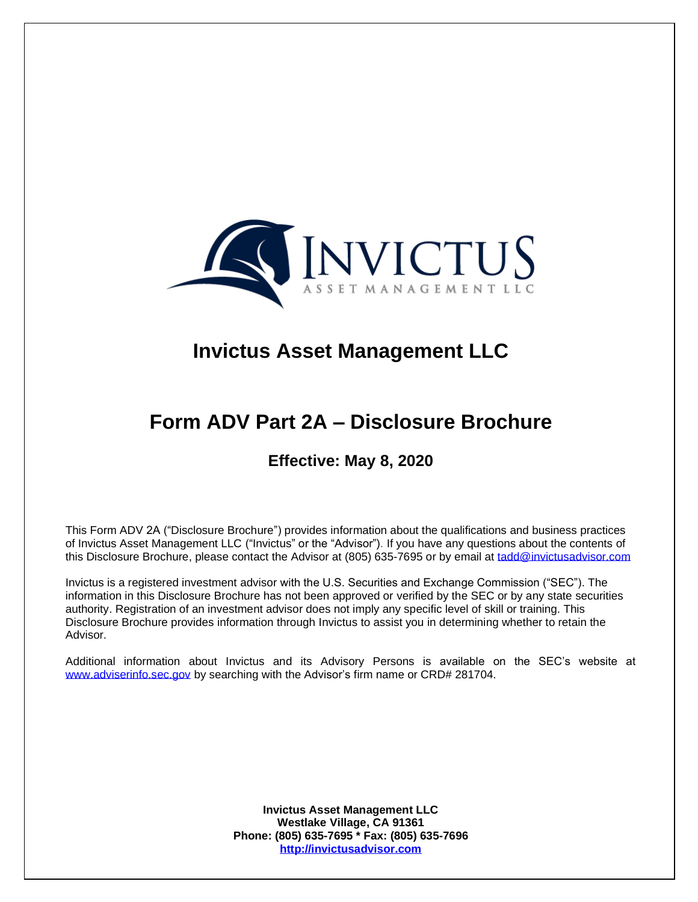

 $\overline{a}$ 

# **Invictus Asset Management LLC**

# **Form ADV Part 2A – Disclosure Brochure**

# **Effective: May 8, 2020**

This Form ADV 2A ("Disclosure Brochure") provides information about the qualifications and business practices of Invictus Asset Management LLC ("Invictus" or the "Advisor"). If you have any questions about the contents of this Disclosure Brochure, please contact the Advisor at (805) 635-7695 or by email at [tadd@invictusadvisor.com](mailto:tadd@invictusadvisor.com)

Invictus is a registered investment advisor with the U.S. Securities and Exchange Commission ("SEC"). The information in this Disclosure Brochure has not been approved or verified by the SEC or by any state securities authority. Registration of an investment advisor does not imply any specific level of skill or training. This Disclosure Brochure provides information through Invictus to assist you in determining whether to retain the Advisor.

Additional information about Invictus and its Advisory Persons is available on the SEC's website at [www.adviserinfo.sec.gov](http://www.adviserinfo.sec.gov/) by searching with the Advisor's firm name or CRD# 281704.

> **Invictus Asset Management LLC Westlake Village, CA 91361 Phone: (805) 635-7695 \* Fax: (805) 635-7696 [http://invictusadvisor.com](http://invictusadvisor.com/)**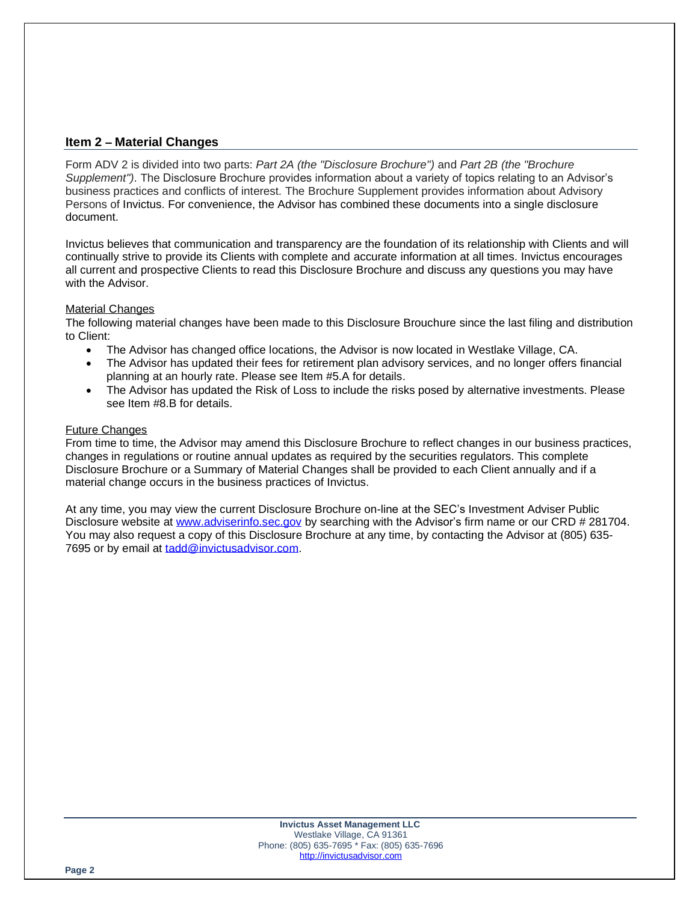# **Item 2 – Material Changes**

Form ADV 2 is divided into two parts: *Part 2A (the "Disclosure Brochure")* and *Part 2B (the "Brochure Supplement")*. The Disclosure Brochure provides information about a variety of topics relating to an Advisor's business practices and conflicts of interest. The Brochure Supplement provides information about Advisory Persons of Invictus. For convenience, the Advisor has combined these documents into a single disclosure document.

Invictus believes that communication and transparency are the foundation of its relationship with Clients and will continually strive to provide its Clients with complete and accurate information at all times. Invictus encourages all current and prospective Clients to read this Disclosure Brochure and discuss any questions you may have with the Advisor.

#### Material Changes

The following material changes have been made to this Disclosure Brouchure since the last filing and distribution to Client:

- The Advisor has changed office locations, the Advisor is now located in Westlake Village, CA.
- The Advisor has updated their fees for retirement plan advisory services, and no longer offers financial planning at an hourly rate. Please see Item #5.A for details.
- The Advisor has updated the Risk of Loss to include the risks posed by alternative investments. Please see Item #8.B for details.

#### Future Changes

From time to time, the Advisor may amend this Disclosure Brochure to reflect changes in our business practices, changes in regulations or routine annual updates as required by the securities regulators. This complete Disclosure Brochure or a Summary of Material Changes shall be provided to each Client annually and if a material change occurs in the business practices of Invictus.

At any time, you may view the current Disclosure Brochure on-line at the SEC's Investment Adviser Public Disclosure website at [www.adviserinfo.sec.gov](http://www.adviserinfo.sec.gov/) by searching with the Advisor's firm name or our CRD # 281704. You may also request a copy of this Disclosure Brochure at any time, by contacting the Advisor at (805) 635- 7695 or by email at tadd@invictusadvisor.com.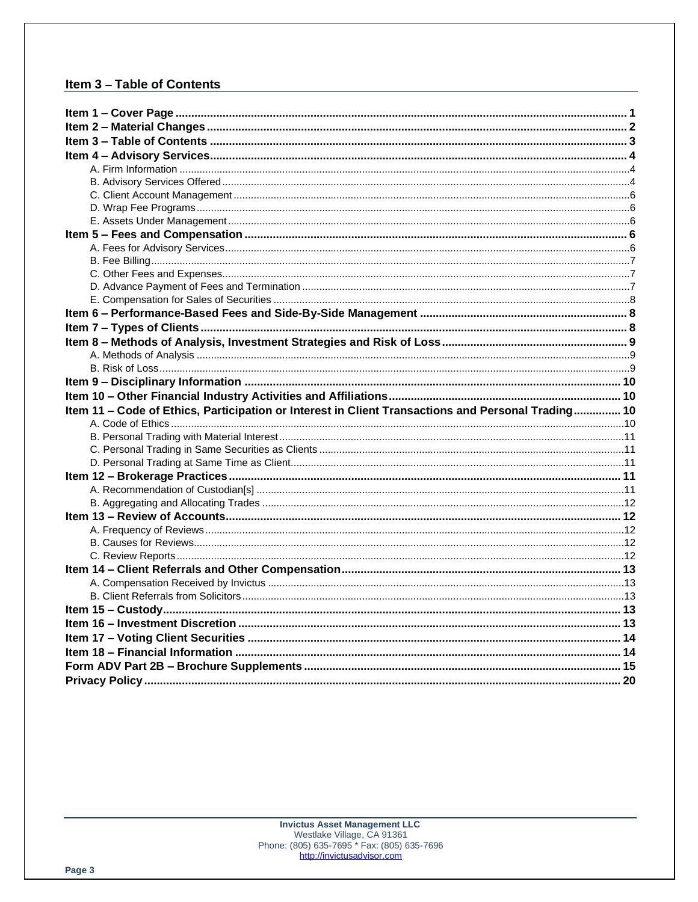# Item 3 - Table of Contents

| Item 11 - Code of Ethics, Participation or Interest in Client Transactions and Personal Trading 10 |  |
|----------------------------------------------------------------------------------------------------|--|
|                                                                                                    |  |
|                                                                                                    |  |
|                                                                                                    |  |
|                                                                                                    |  |
|                                                                                                    |  |
|                                                                                                    |  |
|                                                                                                    |  |
|                                                                                                    |  |
|                                                                                                    |  |
|                                                                                                    |  |
|                                                                                                    |  |
|                                                                                                    |  |
|                                                                                                    |  |
|                                                                                                    |  |
|                                                                                                    |  |
|                                                                                                    |  |
|                                                                                                    |  |
|                                                                                                    |  |
|                                                                                                    |  |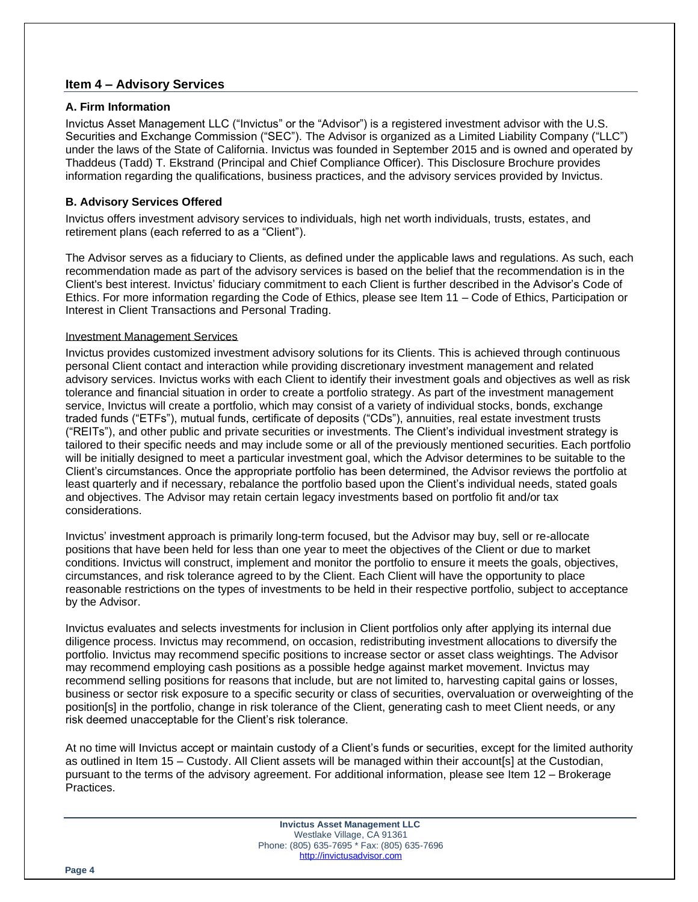# **Item 4 – Advisory Services**

#### **A. Firm Information**

Invictus Asset Management LLC ("Invictus" or the "Advisor") is a registered investment advisor with the U.S. Securities and Exchange Commission ("SEC"). The Advisor is organized as a Limited Liability Company ("LLC") under the laws of the State of California. Invictus was founded in September 2015 and is owned and operated by Thaddeus (Tadd) T. Ekstrand (Principal and Chief Compliance Officer). This Disclosure Brochure provides information regarding the qualifications, business practices, and the advisory services provided by Invictus.

# **B. Advisory Services Offered**

Invictus offers investment advisory services to individuals, high net worth individuals, trusts, estates, and retirement plans (each referred to as a "Client").

The Advisor serves as a fiduciary to Clients, as defined under the applicable laws and regulations. As such, each recommendation made as part of the advisory services is based on the belief that the recommendation is in the Client's best interest. Invictus' fiduciary commitment to each Client is further described in the Advisor's Code of Ethics. For more information regarding the Code of Ethics, please see Item 11 – Code of Ethics, Participation or Interest in Client Transactions and Personal Trading.

#### Investment Management Services

Invictus provides customized investment advisory solutions for its Clients. This is achieved through continuous personal Client contact and interaction while providing discretionary investment management and related advisory services. Invictus works with each Client to identify their investment goals and objectives as well as risk tolerance and financial situation in order to create a portfolio strategy. As part of the investment management service, Invictus will create a portfolio, which may consist of a variety of individual stocks, bonds, exchange traded funds ("ETFs"), mutual funds, certificate of deposits ("CDs"), annuities, real estate investment trusts ("REITs"), and other public and private securities or investments. The Client's individual investment strategy is tailored to their specific needs and may include some or all of the previously mentioned securities. Each portfolio will be initially designed to meet a particular investment goal, which the Advisor determines to be suitable to the Client's circumstances. Once the appropriate portfolio has been determined, the Advisor reviews the portfolio at least quarterly and if necessary, rebalance the portfolio based upon the Client's individual needs, stated goals and objectives. The Advisor may retain certain legacy investments based on portfolio fit and/or tax considerations.

Invictus' investment approach is primarily long-term focused, but the Advisor may buy, sell or re-allocate positions that have been held for less than one year to meet the objectives of the Client or due to market conditions. Invictus will construct, implement and monitor the portfolio to ensure it meets the goals, objectives, circumstances, and risk tolerance agreed to by the Client. Each Client will have the opportunity to place reasonable restrictions on the types of investments to be held in their respective portfolio, subject to acceptance by the Advisor.

Invictus evaluates and selects investments for inclusion in Client portfolios only after applying its internal due diligence process. Invictus may recommend, on occasion, redistributing investment allocations to diversify the portfolio. Invictus may recommend specific positions to increase sector or asset class weightings. The Advisor may recommend employing cash positions as a possible hedge against market movement. Invictus may recommend selling positions for reasons that include, but are not limited to, harvesting capital gains or losses, business or sector risk exposure to a specific security or class of securities, overvaluation or overweighting of the position[s] in the portfolio, change in risk tolerance of the Client, generating cash to meet Client needs, or any risk deemed unacceptable for the Client's risk tolerance.

At no time will Invictus accept or maintain custody of a Client's funds or securities, except for the limited authority as outlined in Item 15 – Custody. All Client assets will be managed within their account[s] at the Custodian, pursuant to the terms of the advisory agreement. For additional information, please see Item 12 – Brokerage Practices.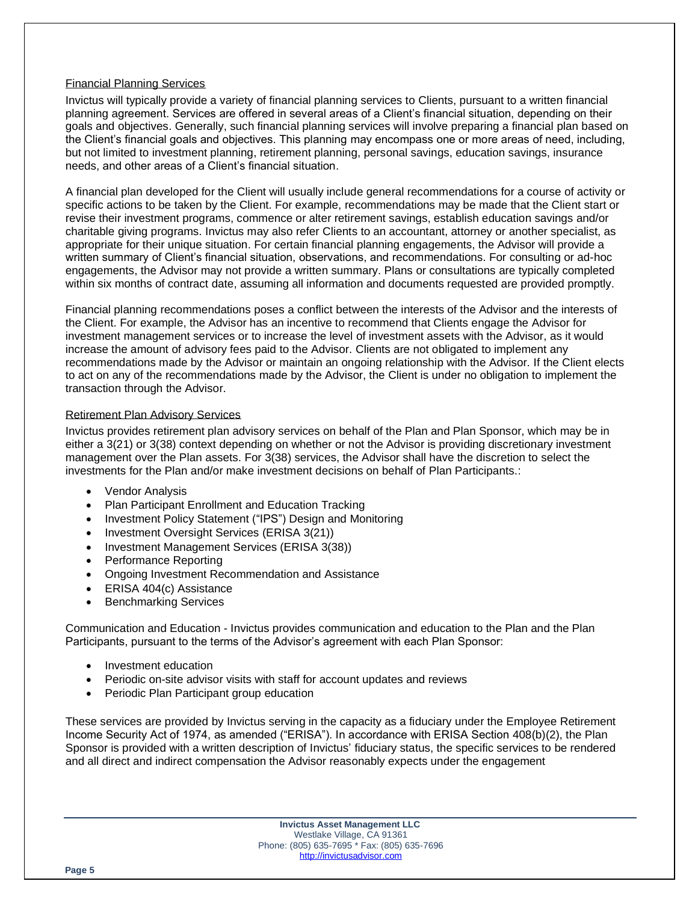#### Financial Planning Services

Invictus will typically provide a variety of financial planning services to Clients, pursuant to a written financial planning agreement. Services are offered in several areas of a Client's financial situation, depending on their goals and objectives. Generally, such financial planning services will involve preparing a financial plan based on the Client's financial goals and objectives. This planning may encompass one or more areas of need, including, but not limited to investment planning, retirement planning, personal savings, education savings, insurance needs, and other areas of a Client's financial situation.

A financial plan developed for the Client will usually include general recommendations for a course of activity or specific actions to be taken by the Client. For example, recommendations may be made that the Client start or revise their investment programs, commence or alter retirement savings, establish education savings and/or charitable giving programs. Invictus may also refer Clients to an accountant, attorney or another specialist, as appropriate for their unique situation. For certain financial planning engagements, the Advisor will provide a written summary of Client's financial situation, observations, and recommendations. For consulting or ad-hoc engagements, the Advisor may not provide a written summary. Plans or consultations are typically completed within six months of contract date, assuming all information and documents requested are provided promptly.

Financial planning recommendations poses a conflict between the interests of the Advisor and the interests of the Client. For example, the Advisor has an incentive to recommend that Clients engage the Advisor for investment management services or to increase the level of investment assets with the Advisor, as it would increase the amount of advisory fees paid to the Advisor. Clients are not obligated to implement any recommendations made by the Advisor or maintain an ongoing relationship with the Advisor. If the Client elects to act on any of the recommendations made by the Advisor, the Client is under no obligation to implement the transaction through the Advisor.

#### Retirement Plan Advisory Services

Invictus provides retirement plan advisory services on behalf of the Plan and Plan Sponsor, which may be in either a 3(21) or 3(38) context depending on whether or not the Advisor is providing discretionary investment management over the Plan assets. For 3(38) services, the Advisor shall have the discretion to select the investments for the Plan and/or make investment decisions on behalf of Plan Participants.:

- Vendor Analysis
- Plan Participant Enrollment and Education Tracking
- Investment Policy Statement ("IPS") Design and Monitoring
- Investment Oversight Services (ERISA 3(21))
- Investment Management Services (ERISA 3(38))
- Performance Reporting
- Ongoing Investment Recommendation and Assistance
- ERISA 404(c) Assistance
- Benchmarking Services

Communication and Education - Invictus provides communication and education to the Plan and the Plan Participants, pursuant to the terms of the Advisor's agreement with each Plan Sponsor:

- Investment education
- Periodic on-site advisor visits with staff for account updates and reviews
- Periodic Plan Participant group education

These services are provided by Invictus serving in the capacity as a fiduciary under the Employee Retirement Income Security Act of 1974, as amended ("ERISA"). In accordance with ERISA Section 408(b)(2), the Plan Sponsor is provided with a written description of Invictus' fiduciary status, the specific services to be rendered and all direct and indirect compensation the Advisor reasonably expects under the engagement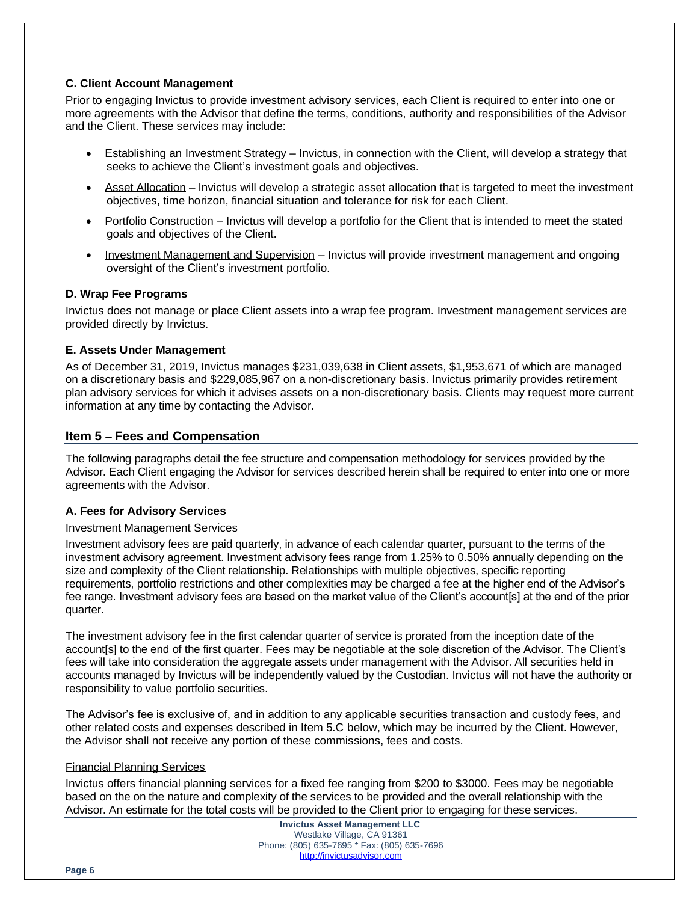#### **C. Client Account Management**

Prior to engaging Invictus to provide investment advisory services, each Client is required to enter into one or more agreements with the Advisor that define the terms, conditions, authority and responsibilities of the Advisor and the Client. These services may include:

- Establishing an Investment Strategy Invictus, in connection with the Client, will develop a strategy that seeks to achieve the Client's investment goals and objectives.
- Asset Allocation Invictus will develop a strategic asset allocation that is targeted to meet the investment objectives, time horizon, financial situation and tolerance for risk for each Client.
- Portfolio Construction Invictus will develop a portfolio for the Client that is intended to meet the stated goals and objectives of the Client.
- Investment Management and Supervision Invictus will provide investment management and ongoing oversight of the Client's investment portfolio.

#### **D. Wrap Fee Programs**

Invictus does not manage or place Client assets into a wrap fee program. Investment management services are provided directly by Invictus.

#### **E. Assets Under Management**

As of December 31, 2019, Invictus manages \$231,039,638 in Client assets, \$1,953,671 of which are managed on a discretionary basis and \$229,085,967 on a non-discretionary basis. Invictus primarily provides retirement plan advisory services for which it advises assets on a non-discretionary basis. Clients may request more current information at any time by contacting the Advisor.

# **Item 5 – Fees and Compensation**

The following paragraphs detail the fee structure and compensation methodology for services provided by the Advisor. Each Client engaging the Advisor for services described herein shall be required to enter into one or more agreements with the Advisor.

#### **A. Fees for Advisory Services**

#### Investment Management Services

Investment advisory fees are paid quarterly, in advance of each calendar quarter, pursuant to the terms of the investment advisory agreement. Investment advisory fees range from 1.25% to 0.50% annually depending on the size and complexity of the Client relationship. Relationships with multiple objectives, specific reporting requirements, portfolio restrictions and other complexities may be charged a fee at the higher end of the Advisor's fee range. Investment advisory fees are based on the market value of the Client's account[s] at the end of the prior quarter.

The investment advisory fee in the first calendar quarter of service is prorated from the inception date of the account[s] to the end of the first quarter. Fees may be negotiable at the sole discretion of the Advisor. The Client's fees will take into consideration the aggregate assets under management with the Advisor. All securities held in accounts managed by Invictus will be independently valued by the Custodian. Invictus will not have the authority or responsibility to value portfolio securities.

The Advisor's fee is exclusive of, and in addition to any applicable securities transaction and custody fees, and other related costs and expenses described in Item 5.C below, which may be incurred by the Client. However, the Advisor shall not receive any portion of these commissions, fees and costs.

#### Financial Planning Services

Invictus offers financial planning services for a fixed fee ranging from \$200 to \$3000. Fees may be negotiable based on the on the nature and complexity of the services to be provided and the overall relationship with the Advisor. An estimate for the total costs will be provided to the Client prior to engaging for these services.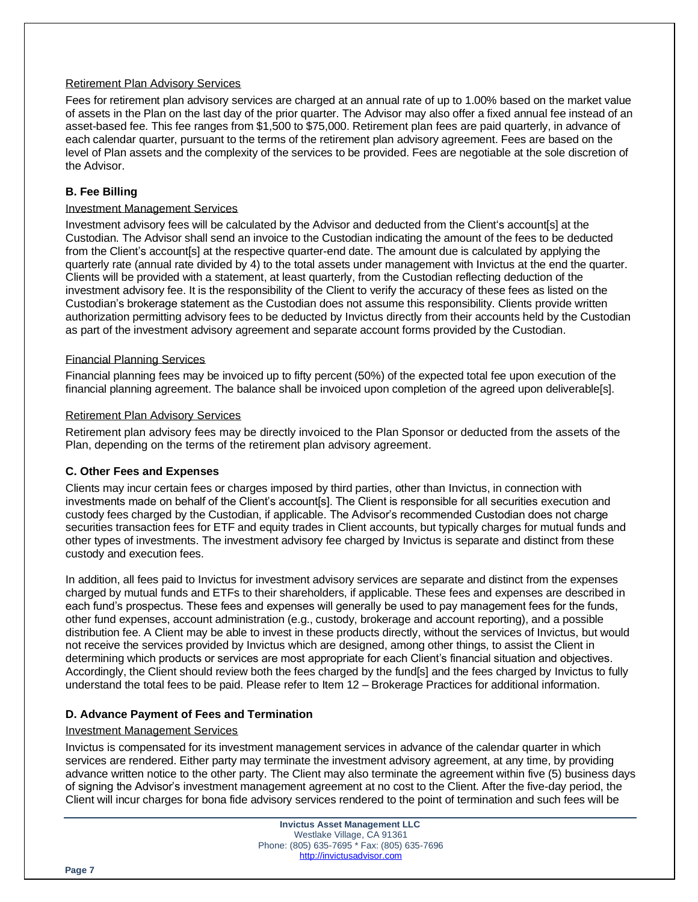#### Retirement Plan Advisory Services

Fees for retirement plan advisory services are charged at an annual rate of up to 1.00% based on the market value of assets in the Plan on the last day of the prior quarter. The Advisor may also offer a fixed annual fee instead of an asset-based fee. This fee ranges from \$1,500 to \$75,000. Retirement plan fees are paid quarterly, in advance of each calendar quarter, pursuant to the terms of the retirement plan advisory agreement. Fees are based on the level of Plan assets and the complexity of the services to be provided. Fees are negotiable at the sole discretion of the Advisor.

### **B. Fee Billing**

#### Investment Management Services

Investment advisory fees will be calculated by the Advisor and deducted from the Client's account[s] at the Custodian. The Advisor shall send an invoice to the Custodian indicating the amount of the fees to be deducted from the Client's account[s] at the respective quarter-end date. The amount due is calculated by applying the quarterly rate (annual rate divided by 4) to the total assets under management with Invictus at the end the quarter. Clients will be provided with a statement, at least quarterly, from the Custodian reflecting deduction of the investment advisory fee. It is the responsibility of the Client to verify the accuracy of these fees as listed on the Custodian's brokerage statement as the Custodian does not assume this responsibility. Clients provide written authorization permitting advisory fees to be deducted by Invictus directly from their accounts held by the Custodian as part of the investment advisory agreement and separate account forms provided by the Custodian.

#### Financial Planning Services

Financial planning fees may be invoiced up to fifty percent (50%) of the expected total fee upon execution of the financial planning agreement. The balance shall be invoiced upon completion of the agreed upon deliverable[s].

#### Retirement Plan Advisory Services

Retirement plan advisory fees may be directly invoiced to the Plan Sponsor or deducted from the assets of the Plan, depending on the terms of the retirement plan advisory agreement.

#### **C. Other Fees and Expenses**

Clients may incur certain fees or charges imposed by third parties, other than Invictus, in connection with investments made on behalf of the Client's account[s]. The Client is responsible for all securities execution and custody fees charged by the Custodian, if applicable. The Advisor's recommended Custodian does not charge securities transaction fees for ETF and equity trades in Client accounts, but typically charges for mutual funds and other types of investments. The investment advisory fee charged by Invictus is separate and distinct from these custody and execution fees.

In addition, all fees paid to Invictus for investment advisory services are separate and distinct from the expenses charged by mutual funds and ETFs to their shareholders, if applicable. These fees and expenses are described in each fund's prospectus. These fees and expenses will generally be used to pay management fees for the funds, other fund expenses, account administration (e.g., custody, brokerage and account reporting), and a possible distribution fee. A Client may be able to invest in these products directly, without the services of Invictus, but would not receive the services provided by Invictus which are designed, among other things, to assist the Client in determining which products or services are most appropriate for each Client's financial situation and objectives. Accordingly, the Client should review both the fees charged by the fund[s] and the fees charged by Invictus to fully understand the total fees to be paid. Please refer to Item 12 – Brokerage Practices for additional information.

# **D. Advance Payment of Fees and Termination**

#### Investment Management Services

Invictus is compensated for its investment management services in advance of the calendar quarter in which services are rendered. Either party may terminate the investment advisory agreement, at any time, by providing advance written notice to the other party. The Client may also terminate the agreement within five (5) business days of signing the Advisor's investment management agreement at no cost to the Client. After the five-day period, the Client will incur charges for bona fide advisory services rendered to the point of termination and such fees will be

**Page 7**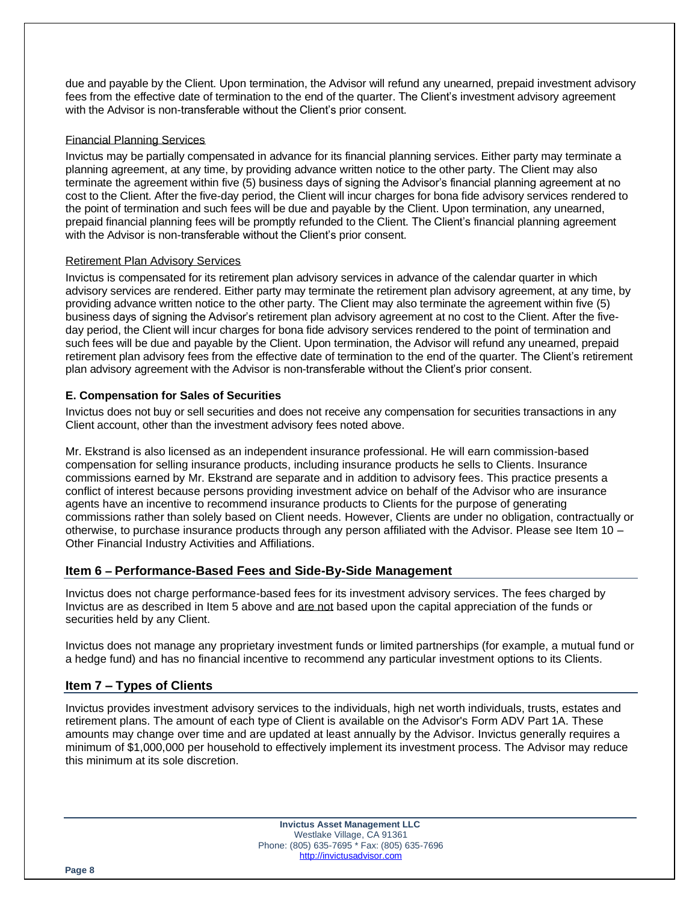due and payable by the Client. Upon termination, the Advisor will refund any unearned, prepaid investment advisory fees from the effective date of termination to the end of the quarter. The Client's investment advisory agreement with the Advisor is non-transferable without the Client's prior consent.

#### Financial Planning Services

Invictus may be partially compensated in advance for its financial planning services. Either party may terminate a planning agreement, at any time, by providing advance written notice to the other party. The Client may also terminate the agreement within five (5) business days of signing the Advisor's financial planning agreement at no cost to the Client. After the five-day period, the Client will incur charges for bona fide advisory services rendered to the point of termination and such fees will be due and payable by the Client. Upon termination, any unearned, prepaid financial planning fees will be promptly refunded to the Client. The Client's financial planning agreement with the Advisor is non-transferable without the Client's prior consent.

#### Retirement Plan Advisory Services

Invictus is compensated for its retirement plan advisory services in advance of the calendar quarter in which advisory services are rendered. Either party may terminate the retirement plan advisory agreement, at any time, by providing advance written notice to the other party. The Client may also terminate the agreement within five (5) business days of signing the Advisor's retirement plan advisory agreement at no cost to the Client. After the fiveday period, the Client will incur charges for bona fide advisory services rendered to the point of termination and such fees will be due and payable by the Client. Upon termination, the Advisor will refund any unearned, prepaid retirement plan advisory fees from the effective date of termination to the end of the quarter. The Client's retirement plan advisory agreement with the Advisor is non-transferable without the Client's prior consent.

#### **E. Compensation for Sales of Securities**

Invictus does not buy or sell securities and does not receive any compensation for securities transactions in any Client account, other than the investment advisory fees noted above.

Mr. Ekstrand is also licensed as an independent insurance professional. He will earn commission-based compensation for selling insurance products, including insurance products he sells to Clients. Insurance commissions earned by Mr. Ekstrand are separate and in addition to advisory fees. This practice presents a conflict of interest because persons providing investment advice on behalf of the Advisor who are insurance agents have an incentive to recommend insurance products to Clients for the purpose of generating commissions rather than solely based on Client needs. However, Clients are under no obligation, contractually or otherwise, to purchase insurance products through any person affiliated with the Advisor. Please see Item 10 – Other Financial Industry Activities and Affiliations.

# **Item 6 – Performance-Based Fees and Side-By-Side Management**

Invictus does not charge performance-based fees for its investment advisory services. The fees charged by Invictus are as described in Item 5 above and are not based upon the capital appreciation of the funds or securities held by any Client.

Invictus does not manage any proprietary investment funds or limited partnerships (for example, a mutual fund or a hedge fund) and has no financial incentive to recommend any particular investment options to its Clients.

# **Item 7 – Types of Clients**

Invictus provides investment advisory services to the individuals, high net worth individuals, trusts, estates and retirement plans. The amount of each type of Client is available on the Advisor's Form ADV Part 1A. These amounts may change over time and are updated at least annually by the Advisor. Invictus generally requires a minimum of \$1,000,000 per household to effectively implement its investment process. The Advisor may reduce this minimum at its sole discretion.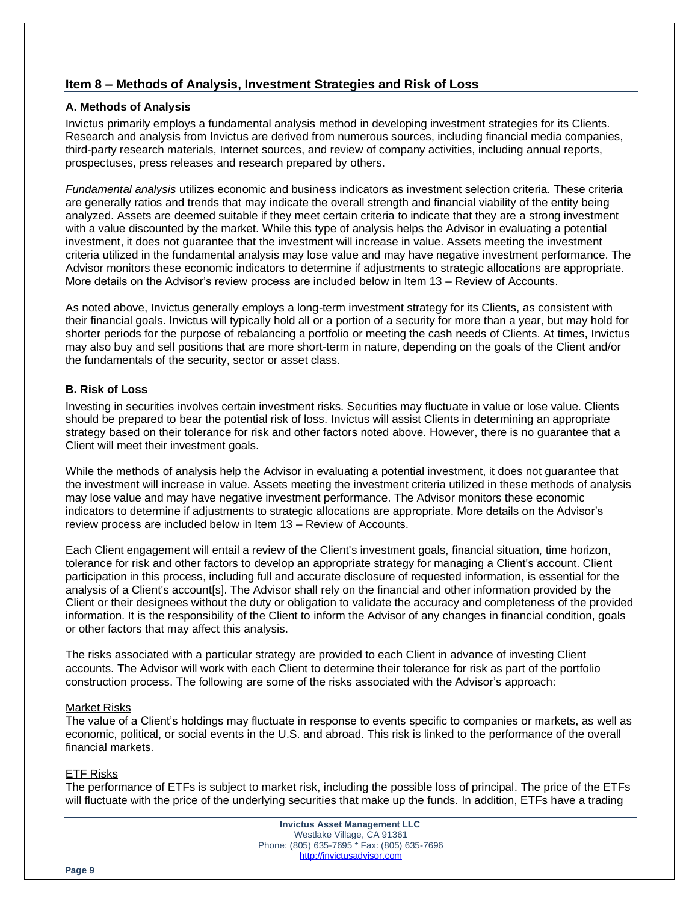# **Item 8 – Methods of Analysis, Investment Strategies and Risk of Loss**

#### **A. Methods of Analysis**

Invictus primarily employs a fundamental analysis method in developing investment strategies for its Clients. Research and analysis from Invictus are derived from numerous sources, including financial media companies, third-party research materials, Internet sources, and review of company activities, including annual reports, prospectuses, press releases and research prepared by others.

*Fundamental analysis* utilizes economic and business indicators as investment selection criteria. These criteria are generally ratios and trends that may indicate the overall strength and financial viability of the entity being analyzed. Assets are deemed suitable if they meet certain criteria to indicate that they are a strong investment with a value discounted by the market. While this type of analysis helps the Advisor in evaluating a potential investment, it does not guarantee that the investment will increase in value. Assets meeting the investment criteria utilized in the fundamental analysis may lose value and may have negative investment performance. The Advisor monitors these economic indicators to determine if adjustments to strategic allocations are appropriate. More details on the Advisor's review process are included below in Item 13 – Review of Accounts.

As noted above, Invictus generally employs a long-term investment strategy for its Clients, as consistent with their financial goals. Invictus will typically hold all or a portion of a security for more than a year, but may hold for shorter periods for the purpose of rebalancing a portfolio or meeting the cash needs of Clients. At times, Invictus may also buy and sell positions that are more short-term in nature, depending on the goals of the Client and/or the fundamentals of the security, sector or asset class.

#### **B. Risk of Loss**

Investing in securities involves certain investment risks. Securities may fluctuate in value or lose value. Clients should be prepared to bear the potential risk of loss. Invictus will assist Clients in determining an appropriate strategy based on their tolerance for risk and other factors noted above. However, there is no guarantee that a Client will meet their investment goals.

While the methods of analysis help the Advisor in evaluating a potential investment, it does not guarantee that the investment will increase in value. Assets meeting the investment criteria utilized in these methods of analysis may lose value and may have negative investment performance. The Advisor monitors these economic indicators to determine if adjustments to strategic allocations are appropriate. More details on the Advisor's review process are included below in Item 13 – Review of Accounts.

Each Client engagement will entail a review of the Client's investment goals, financial situation, time horizon, tolerance for risk and other factors to develop an appropriate strategy for managing a Client's account. Client participation in this process, including full and accurate disclosure of requested information, is essential for the analysis of a Client's account[s]. The Advisor shall rely on the financial and other information provided by the Client or their designees without the duty or obligation to validate the accuracy and completeness of the provided information. It is the responsibility of the Client to inform the Advisor of any changes in financial condition, goals or other factors that may affect this analysis.

The risks associated with a particular strategy are provided to each Client in advance of investing Client accounts. The Advisor will work with each Client to determine their tolerance for risk as part of the portfolio construction process. The following are some of the risks associated with the Advisor's approach:

#### Market Risks

The value of a Client's holdings may fluctuate in response to events specific to companies or markets, as well as economic, political, or social events in the U.S. and abroad. This risk is linked to the performance of the overall financial markets.

#### ETF Risks

The performance of ETFs is subject to market risk, including the possible loss of principal. The price of the ETFs will fluctuate with the price of the underlying securities that make up the funds. In addition, ETFs have a trading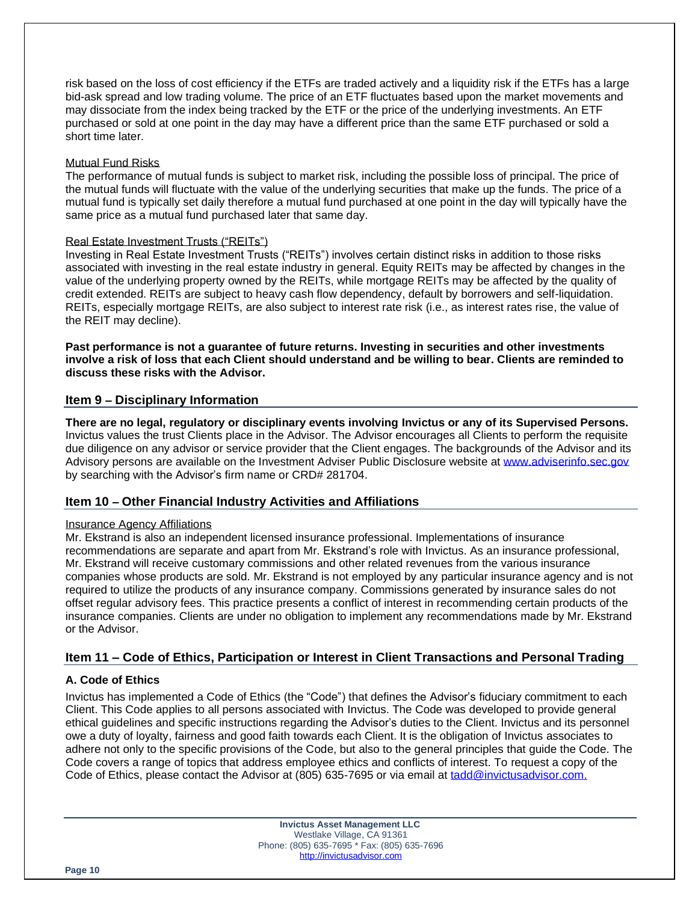risk based on the loss of cost efficiency if the ETFs are traded actively and a liquidity risk if the ETFs has a large bid-ask spread and low trading volume. The price of an ETF fluctuates based upon the market movements and may dissociate from the index being tracked by the ETF or the price of the underlying investments. An ETF purchased or sold at one point in the day may have a different price than the same ETF purchased or sold a short time later.

#### Mutual Fund Risks

The performance of mutual funds is subject to market risk, including the possible loss of principal. The price of the mutual funds will fluctuate with the value of the underlying securities that make up the funds. The price of a mutual fund is typically set daily therefore a mutual fund purchased at one point in the day will typically have the same price as a mutual fund purchased later that same day.

#### Real Estate Investment Trusts ("REITs")

Investing in Real Estate Investment Trusts ("REITs") involves certain distinct risks in addition to those risks associated with investing in the real estate industry in general. Equity REITs may be affected by changes in the value of the underlying property owned by the REITs, while mortgage REITs may be affected by the quality of credit extended. REITs are subject to heavy cash flow dependency, default by borrowers and self-liquidation. REITs, especially mortgage REITs, are also subject to interest rate risk (i.e., as interest rates rise, the value of the REIT may decline).

**Past performance is not a guarantee of future returns. Investing in securities and other investments involve a risk of loss that each Client should understand and be willing to bear. Clients are reminded to discuss these risks with the Advisor.**

# **Item 9 – Disciplinary Information**

**There are no legal, regulatory or disciplinary events involving Invictus or any of its Supervised Persons.**  Invictus values the trust Clients place in the Advisor. The Advisor encourages all Clients to perform the requisite due diligence on any advisor or service provider that the Client engages. The backgrounds of the Advisor and its Advisory persons are available on the Investment Adviser Public Disclosure website at [www.adviserinfo.sec.gov](http://www.adviserinfo.sec.gov/) by searching with the Advisor's firm name or CRD# 281704.

# **Item 10 – Other Financial Industry Activities and Affiliations**

#### Insurance Agency Affiliations

Mr. Ekstrand is also an independent licensed insurance professional. Implementations of insurance recommendations are separate and apart from Mr. Ekstrand's role with Invictus. As an insurance professional, Mr. Ekstrand will receive customary commissions and other related revenues from the various insurance companies whose products are sold. Mr. Ekstrand is not employed by any particular insurance agency and is not required to utilize the products of any insurance company. Commissions generated by insurance sales do not offset regular advisory fees. This practice presents a conflict of interest in recommending certain products of the insurance companies. Clients are under no obligation to implement any recommendations made by Mr. Ekstrand or the Advisor.

# **Item 11 – Code of Ethics, Participation or Interest in Client Transactions and Personal Trading**

# **A. Code of Ethics**

Invictus has implemented a Code of Ethics (the "Code") that defines the Advisor's fiduciary commitment to each Client. This Code applies to all persons associated with Invictus. The Code was developed to provide general ethical guidelines and specific instructions regarding the Advisor's duties to the Client. Invictus and its personnel owe a duty of loyalty, fairness and good faith towards each Client. It is the obligation of Invictus associates to adhere not only to the specific provisions of the Code, but also to the general principles that guide the Code. The Code covers a range of topics that address employee ethics and conflicts of interest. To request a copy of the Code of Ethics, please contact the Advisor at (805) 635-7695 or via email at [tadd@invictusadvisor.com.](mailto:tadd@invictusadvisor.com)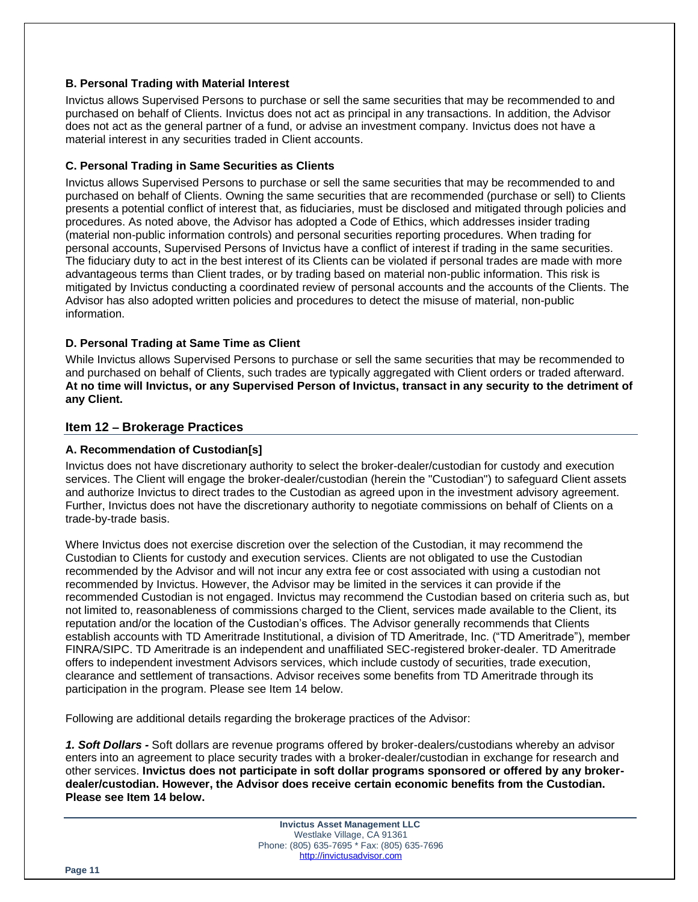#### **B. Personal Trading with Material Interest**

Invictus allows Supervised Persons to purchase or sell the same securities that may be recommended to and purchased on behalf of Clients. Invictus does not act as principal in any transactions. In addition, the Advisor does not act as the general partner of a fund, or advise an investment company. Invictus does not have a material interest in any securities traded in Client accounts.

# **C. Personal Trading in Same Securities as Clients**

Invictus allows Supervised Persons to purchase or sell the same securities that may be recommended to and purchased on behalf of Clients. Owning the same securities that are recommended (purchase or sell) to Clients presents a potential conflict of interest that, as fiduciaries, must be disclosed and mitigated through policies and procedures. As noted above, the Advisor has adopted a Code of Ethics, which addresses insider trading (material non-public information controls) and personal securities reporting procedures. When trading for personal accounts, Supervised Persons of Invictus have a conflict of interest if trading in the same securities. The fiduciary duty to act in the best interest of its Clients can be violated if personal trades are made with more advantageous terms than Client trades, or by trading based on material non-public information. This risk is mitigated by Invictus conducting a coordinated review of personal accounts and the accounts of the Clients. The Advisor has also adopted written policies and procedures to detect the misuse of material, non-public information.

# **D. Personal Trading at Same Time as Client**

While Invictus allows Supervised Persons to purchase or sell the same securities that may be recommended to and purchased on behalf of Clients, such trades are typically aggregated with Client orders or traded afterward. **At no time will Invictus, or any Supervised Person of Invictus, transact in any security to the detriment of any Client.** 

# **Item 12 – Brokerage Practices**

#### **A. Recommendation of Custodian[s]**

Invictus does not have discretionary authority to select the broker-dealer/custodian for custody and execution services. The Client will engage the broker-dealer/custodian (herein the "Custodian") to safeguard Client assets and authorize Invictus to direct trades to the Custodian as agreed upon in the investment advisory agreement. Further, Invictus does not have the discretionary authority to negotiate commissions on behalf of Clients on a trade-by-trade basis.

Where Invictus does not exercise discretion over the selection of the Custodian, it may recommend the Custodian to Clients for custody and execution services. Clients are not obligated to use the Custodian recommended by the Advisor and will not incur any extra fee or cost associated with using a custodian not recommended by Invictus. However, the Advisor may be limited in the services it can provide if the recommended Custodian is not engaged. Invictus may recommend the Custodian based on criteria such as, but not limited to, reasonableness of commissions charged to the Client, services made available to the Client, its reputation and/or the location of the Custodian's offices. The Advisor generally recommends that Clients establish accounts with TD Ameritrade Institutional, a division of TD Ameritrade, Inc. ("TD Ameritrade"), member FINRA/SIPC. TD Ameritrade is an independent and unaffiliated SEC-registered broker-dealer. TD Ameritrade offers to independent investment Advisors services, which include custody of securities, trade execution, clearance and settlement of transactions. Advisor receives some benefits from TD Ameritrade through its participation in the program. Please see Item 14 below.

Following are additional details regarding the brokerage practices of the Advisor:

*1. Soft Dollars -* Soft dollars are revenue programs offered by broker-dealers/custodians whereby an advisor enters into an agreement to place security trades with a broker-dealer/custodian in exchange for research and other services. **Invictus does not participate in soft dollar programs sponsored or offered by any brokerdealer/custodian. However, the Advisor does receive certain economic benefits from the Custodian. Please see Item 14 below.**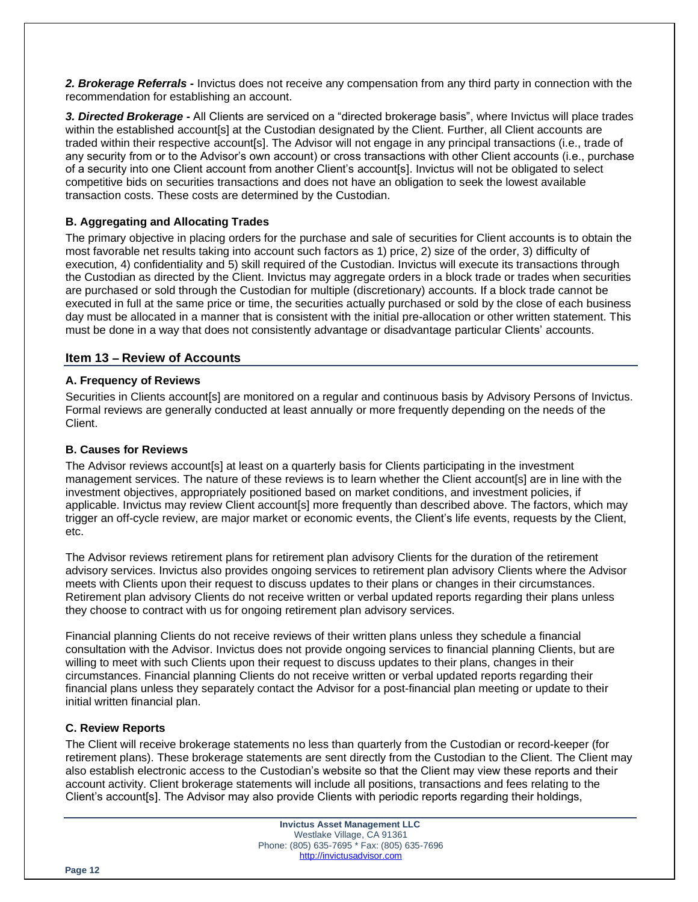*2. Brokerage Referrals -* Invictus does not receive any compensation from any third party in connection with the recommendation for establishing an account.

*3. Directed Brokerage -* All Clients are serviced on a "directed brokerage basis", where Invictus will place trades within the established account[s] at the Custodian designated by the Client. Further, all Client accounts are traded within their respective account[s]. The Advisor will not engage in any principal transactions (i.e., trade of any security from or to the Advisor's own account) or cross transactions with other Client accounts (i.e., purchase of a security into one Client account from another Client's account[s]. Invictus will not be obligated to select competitive bids on securities transactions and does not have an obligation to seek the lowest available transaction costs. These costs are determined by the Custodian.

# **B. Aggregating and Allocating Trades**

The primary objective in placing orders for the purchase and sale of securities for Client accounts is to obtain the most favorable net results taking into account such factors as 1) price, 2) size of the order, 3) difficulty of execution, 4) confidentiality and 5) skill required of the Custodian. Invictus will execute its transactions through the Custodian as directed by the Client. Invictus may aggregate orders in a block trade or trades when securities are purchased or sold through the Custodian for multiple (discretionary) accounts. If a block trade cannot be executed in full at the same price or time, the securities actually purchased or sold by the close of each business day must be allocated in a manner that is consistent with the initial pre-allocation or other written statement. This must be done in a way that does not consistently advantage or disadvantage particular Clients' accounts.

#### **Item 13 – Review of Accounts**

#### **A. Frequency of Reviews**

Securities in Clients account[s] are monitored on a regular and continuous basis by Advisory Persons of Invictus. Formal reviews are generally conducted at least annually or more frequently depending on the needs of the Client.

#### **B. Causes for Reviews**

The Advisor reviews account state least on a quarterly basis for Clients participating in the investment management services. The nature of these reviews is to learn whether the Client account[s] are in line with the investment objectives, appropriately positioned based on market conditions, and investment policies, if applicable. Invictus may review Client account[s] more frequently than described above. The factors, which may trigger an off-cycle review, are major market or economic events, the Client's life events, requests by the Client, etc.

The Advisor reviews retirement plans for retirement plan advisory Clients for the duration of the retirement advisory services. Invictus also provides ongoing services to retirement plan advisory Clients where the Advisor meets with Clients upon their request to discuss updates to their plans or changes in their circumstances. Retirement plan advisory Clients do not receive written or verbal updated reports regarding their plans unless they choose to contract with us for ongoing retirement plan advisory services.

Financial planning Clients do not receive reviews of their written plans unless they schedule a financial consultation with the Advisor. Invictus does not provide ongoing services to financial planning Clients, but are willing to meet with such Clients upon their request to discuss updates to their plans, changes in their circumstances. Financial planning Clients do not receive written or verbal updated reports regarding their financial plans unless they separately contact the Advisor for a post-financial plan meeting or update to their initial written financial plan.

#### **C. Review Reports**

The Client will receive brokerage statements no less than quarterly from the Custodian or record-keeper (for retirement plans). These brokerage statements are sent directly from the Custodian to the Client. The Client may also establish electronic access to the Custodian's website so that the Client may view these reports and their account activity. Client brokerage statements will include all positions, transactions and fees relating to the Client's account[s]. The Advisor may also provide Clients with periodic reports regarding their holdings,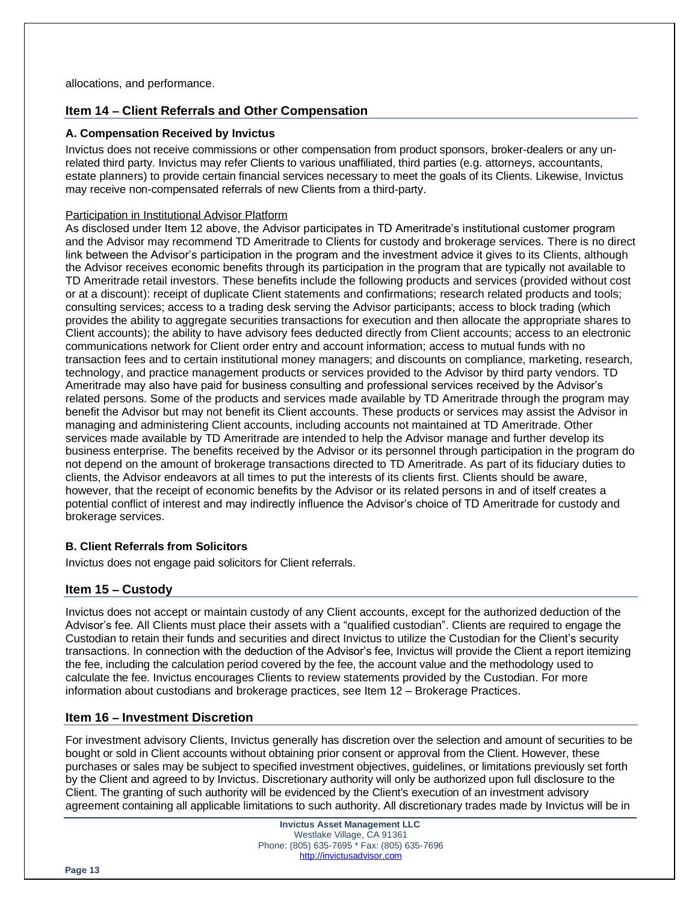# **Item 14 – Client Referrals and Other Compensation**

#### **A. Compensation Received by Invictus**

Invictus does not receive commissions or other compensation from product sponsors, broker-dealers or any unrelated third party. Invictus may refer Clients to various unaffiliated, third parties (e.g. attorneys, accountants, estate planners) to provide certain financial services necessary to meet the goals of its Clients. Likewise, Invictus may receive non-compensated referrals of new Clients from a third-party.

#### Participation in Institutional Advisor Platform

As disclosed under Item 12 above, the Advisor participates in TD Ameritrade's institutional customer program and the Advisor may recommend TD Ameritrade to Clients for custody and brokerage services. There is no direct link between the Advisor's participation in the program and the investment advice it gives to its Clients, although the Advisor receives economic benefits through its participation in the program that are typically not available to TD Ameritrade retail investors. These benefits include the following products and services (provided without cost or at a discount): receipt of duplicate Client statements and confirmations; research related products and tools; consulting services; access to a trading desk serving the Advisor participants; access to block trading (which provides the ability to aggregate securities transactions for execution and then allocate the appropriate shares to Client accounts); the ability to have advisory fees deducted directly from Client accounts; access to an electronic communications network for Client order entry and account information; access to mutual funds with no transaction fees and to certain institutional money managers; and discounts on compliance, marketing, research, technology, and practice management products or services provided to the Advisor by third party vendors. TD Ameritrade may also have paid for business consulting and professional services received by the Advisor's related persons. Some of the products and services made available by TD Ameritrade through the program may benefit the Advisor but may not benefit its Client accounts. These products or services may assist the Advisor in managing and administering Client accounts, including accounts not maintained at TD Ameritrade. Other services made available by TD Ameritrade are intended to help the Advisor manage and further develop its business enterprise. The benefits received by the Advisor or its personnel through participation in the program do not depend on the amount of brokerage transactions directed to TD Ameritrade. As part of its fiduciary duties to clients, the Advisor endeavors at all times to put the interests of its clients first. Clients should be aware, however, that the receipt of economic benefits by the Advisor or its related persons in and of itself creates a potential conflict of interest and may indirectly influence the Advisor's choice of TD Ameritrade for custody and brokerage services.

# **B. Client Referrals from Solicitors**

Invictus does not engage paid solicitors for Client referrals.

# **Item 15 – Custody**

Invictus does not accept or maintain custody of any Client accounts, except for the authorized deduction of the Advisor's fee. All Clients must place their assets with a "qualified custodian". Clients are required to engage the Custodian to retain their funds and securities and direct Invictus to utilize the Custodian for the Client's security transactions. In connection with the deduction of the Advisor's fee, Invictus will provide the Client a report itemizing the fee, including the calculation period covered by the fee, the account value and the methodology used to calculate the fee. Invictus encourages Clients to review statements provided by the Custodian. For more information about custodians and brokerage practices, see Item 12 – Brokerage Practices.

# **Item 16 – Investment Discretion**

For investment advisory Clients, Invictus generally has discretion over the selection and amount of securities to be bought or sold in Client accounts without obtaining prior consent or approval from the Client. However, these purchases or sales may be subject to specified investment objectives, guidelines, or limitations previously set forth by the Client and agreed to by Invictus. Discretionary authority will only be authorized upon full disclosure to the Client. The granting of such authority will be evidenced by the Client's execution of an investment advisory agreement containing all applicable limitations to such authority. All discretionary trades made by Invictus will be in

> **Invictus Asset Management LLC** Westlake Village, CA 91361 Phone: (805) 635-7695 \* Fax: (805) 635-7696 [http://invictusadvisor.com](http://invictusadvisor.com/)

**Page 13**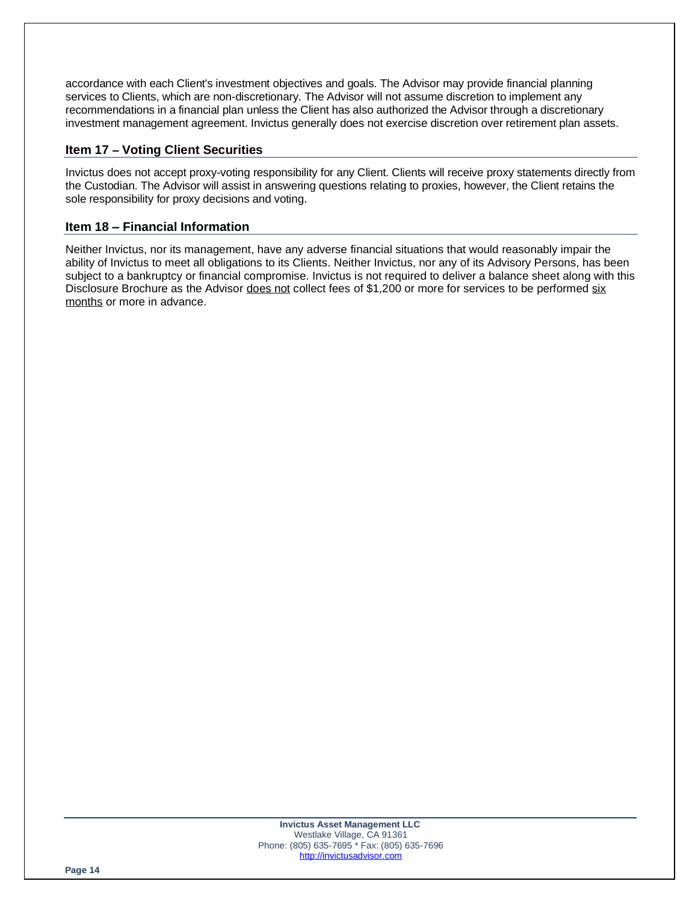accordance with each Client's investment objectives and goals. The Advisor may provide financial planning services to Clients, which are non-discretionary. The Advisor will not assume discretion to implement any recommendations in a financial plan unless the Client has also authorized the Advisor through a discretionary investment management agreement. Invictus generally does not exercise discretion over retirement plan assets.

# **Item 17 – Voting Client Securities**

Invictus does not accept proxy-voting responsibility for any Client. Clients will receive proxy statements directly from the Custodian. The Advisor will assist in answering questions relating to proxies, however, the Client retains the sole responsibility for proxy decisions and voting.

# **Item 18 – Financial Information**

Neither Invictus, nor its management, have any adverse financial situations that would reasonably impair the ability of Invictus to meet all obligations to its Clients. Neither Invictus, nor any of its Advisory Persons, has been subject to a bankruptcy or financial compromise. Invictus is not required to deliver a balance sheet along with this Disclosure Brochure as the Advisor does not collect fees of \$1,200 or more for services to be performed six months or more in advance.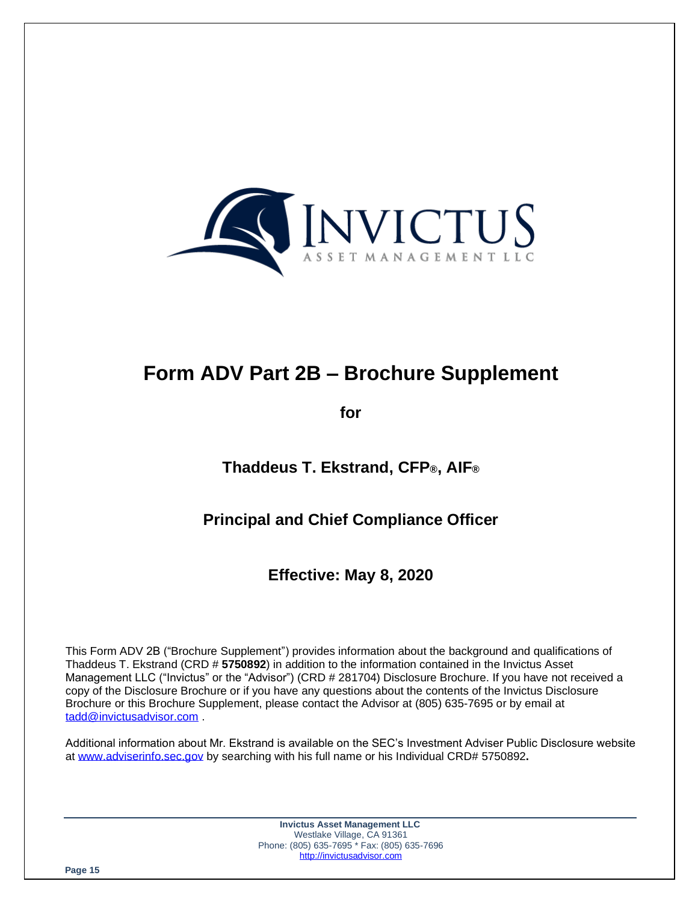

# **Form ADV Part 2B – Brochure Supplement**

**for**

**Thaddeus T. Ekstrand, CFP®, AIF®**

# **Principal and Chief Compliance Officer**

**Effective: May 8, 2020**

This Form ADV 2B ("Brochure Supplement") provides information about the background and qualifications of Thaddeus T. Ekstrand (CRD # **5750892**) in addition to the information contained in the Invictus Asset Management LLC ("Invictus" or the "Advisor") (CRD # 281704) Disclosure Brochure. If you have not received a copy of the Disclosure Brochure or if you have any questions about the contents of the Invictus Disclosure Brochure or this Brochure Supplement, please contact the Advisor at (805) 635-7695 or by email at [tadd@invictusadvisor.com](mailto:tadd@invictusadvisor.com) .

Additional information about Mr. Ekstrand is available on the SEC's Investment Adviser Public Disclosure website at [www.adviserinfo.sec.gov](http://www.adviserinfo.sec.gov/) by searching with his full name or his Individual CRD# 5750892**.**

> **Invictus Asset Management LLC** Westlake Village, CA 91361 Phone: (805) 635-7695 \* Fax: (805) 635-7696 [http://invictusadvisor.com](http://invictusadvisor.com/)

**Page 15**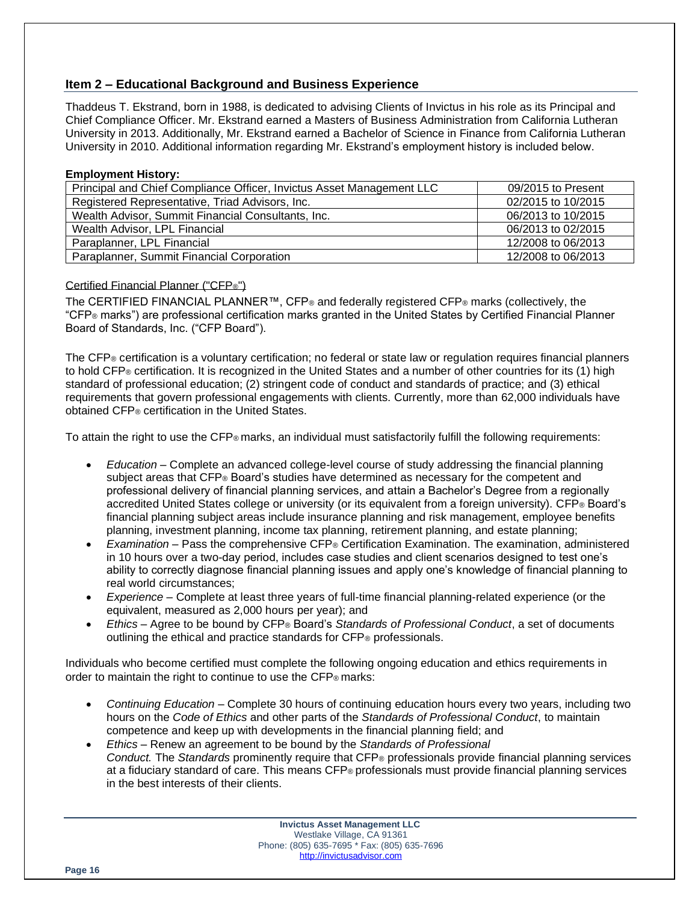# **Item 2 – Educational Background and Business Experience**

Thaddeus T. Ekstrand, born in 1988, is dedicated to advising Clients of Invictus in his role as its Principal and Chief Compliance Officer. Mr. Ekstrand earned a Masters of Business Administration from California Lutheran University in 2013. Additionally, Mr. Ekstrand earned a Bachelor of Science in Finance from California Lutheran University in 2010. Additional information regarding Mr. Ekstrand's employment history is included below.

### **Employment History:**

| 09/2015 to Present |
|--------------------|
| 02/2015 to 10/2015 |
| 06/2013 to 10/2015 |
| 06/2013 to 02/2015 |
| 12/2008 to 06/2013 |
| 12/2008 to 06/2013 |
|                    |

#### Certified Financial Planner ("CFP®")

The CERTIFIED FINANCIAL PLANNER™, CFP® and federally registered CFP® marks (collectively, the "CFP® marks") are professional certification marks granted in the United States by Certified Financial Planner Board of Standards, Inc. ("CFP Board").

The CFP® certification is a voluntary certification; no federal or state law or regulation requires financial planners to hold CFP® certification. It is recognized in the United States and a number of other countries for its (1) high standard of professional education; (2) stringent code of conduct and standards of practice; and (3) ethical requirements that govern professional engagements with clients. Currently, more than 62,000 individuals have obtained CFP® certification in the United States.

To attain the right to use the CFP® marks, an individual must satisfactorily fulfill the following requirements:

- *Education* Complete an advanced college-level course of study addressing the financial planning subject areas that CFP® Board's studies have determined as necessary for the competent and professional delivery of financial planning services, and attain a Bachelor's Degree from a regionally accredited United States college or university (or its equivalent from a foreign university). CFP® Board's financial planning subject areas include insurance planning and risk management, employee benefits planning, investment planning, income tax planning, retirement planning, and estate planning;
- *Examination* Pass the comprehensive CFP® Certification Examination. The examination, administered in 10 hours over a two-day period, includes case studies and client scenarios designed to test one's ability to correctly diagnose financial planning issues and apply one's knowledge of financial planning to real world circumstances;
- *Experience* Complete at least three years of full-time financial planning-related experience (or the equivalent, measured as 2,000 hours per year); and
- *Ethics* Agree to be bound by CFP® Board's *Standards of Professional Conduct*, a set of documents outlining the ethical and practice standards for CFP® professionals.

Individuals who become certified must complete the following ongoing education and ethics requirements in order to maintain the right to continue to use the CFP® marks:

- *Continuing Education* Complete 30 hours of continuing education hours every two years, including two hours on the *Code of Ethics* and other parts of the *Standards of Professional Conduct*, to maintain competence and keep up with developments in the financial planning field; and
- *Ethics* Renew an agreement to be bound by the *Standards of Professional Conduct.* The *Standards* prominently require that CFP® professionals provide financial planning services at a fiduciary standard of care. This means CFP® professionals must provide financial planning services in the best interests of their clients.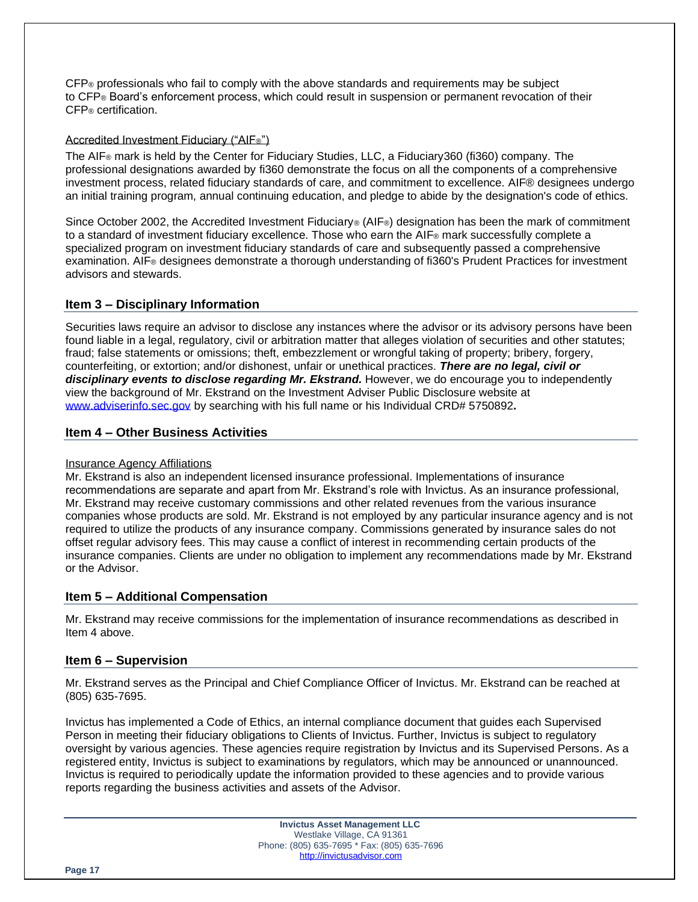CFP® professionals who fail to comply with the above standards and requirements may be subject to CFP® Board's enforcement process, which could result in suspension or permanent revocation of their CFP® certification.

### Accredited Investment Fiduciary ("AIF®")

The AIF® mark is held by the Center for Fiduciary Studies, LLC, a Fiduciary360 (fi360) company. The professional designations awarded by fi360 demonstrate the focus on all the components of a comprehensive investment process, related fiduciary standards of care, and commitment to excellence. AIF® designees undergo an initial training program, annual continuing education, and pledge to abide by the designation's code of ethics.

Since October 2002, the Accredited Investment Fiduciary<sup>®</sup> (AIF®) designation has been the mark of commitment to a standard of investment fiduciary excellence. Those who earn the AIF® mark successfully complete a specialized program on investment fiduciary standards of care and subsequently passed a comprehensive examination. AIF® designees demonstrate a thorough understanding of fi360's Prudent Practices for investment advisors and stewards.

# **Item 3 – Disciplinary Information**

Securities laws require an advisor to disclose any instances where the advisor or its advisory persons have been found liable in a legal, regulatory, civil or arbitration matter that alleges violation of securities and other statutes; fraud; false statements or omissions; theft, embezzlement or wrongful taking of property; bribery, forgery, counterfeiting, or extortion; and/or dishonest, unfair or unethical practices. *There are no legal, civil or disciplinary events to disclose regarding Mr. Ekstrand.* However, we do encourage you to independently view the background of Mr. Ekstrand on the Investment Adviser Public Disclosure website at [www.adviserinfo.sec.gov](http://www.adviserinfo.sec.gov/) by searching with his full name or his Individual CRD# 5750892**.**

# **Item 4 – Other Business Activities**

#### Insurance Agency Affiliations

Mr. Ekstrand is also an independent licensed insurance professional. Implementations of insurance recommendations are separate and apart from Mr. Ekstrand's role with Invictus. As an insurance professional, Mr. Ekstrand may receive customary commissions and other related revenues from the various insurance companies whose products are sold. Mr. Ekstrand is not employed by any particular insurance agency and is not required to utilize the products of any insurance company. Commissions generated by insurance sales do not offset regular advisory fees. This may cause a conflict of interest in recommending certain products of the insurance companies. Clients are under no obligation to implement any recommendations made by Mr. Ekstrand or the Advisor.

# **Item 5 – Additional Compensation**

Mr. Ekstrand may receive commissions for the implementation of insurance recommendations as described in Item 4 above.

# **Item 6 – Supervision**

Mr. Ekstrand serves as the Principal and Chief Compliance Officer of Invictus. Mr. Ekstrand can be reached at (805) 635-7695.

Invictus has implemented a Code of Ethics, an internal compliance document that guides each Supervised Person in meeting their fiduciary obligations to Clients of Invictus. Further, Invictus is subject to regulatory oversight by various agencies. These agencies require registration by Invictus and its Supervised Persons. As a registered entity, Invictus is subject to examinations by regulators, which may be announced or unannounced. Invictus is required to periodically update the information provided to these agencies and to provide various reports regarding the business activities and assets of the Advisor.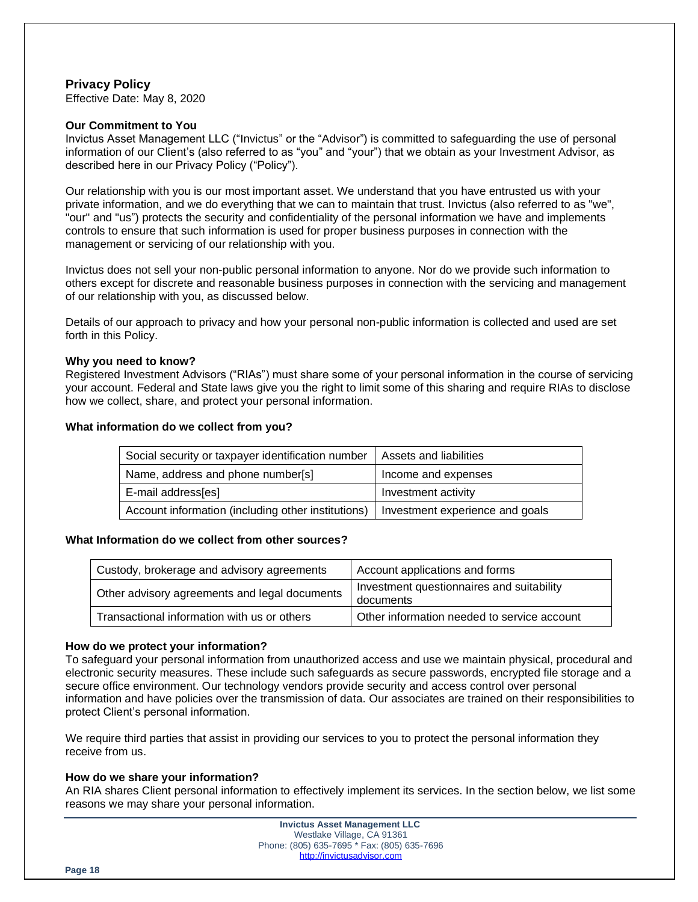# **Privacy Policy**

Effective Date: May 8, 2020

#### **Our Commitment to You**

Invictus Asset Management LLC ("Invictus" or the "Advisor") is committed to safeguarding the use of personal information of our Client's (also referred to as "you" and "your") that we obtain as your Investment Advisor, as described here in our Privacy Policy ("Policy").

Our relationship with you is our most important asset. We understand that you have entrusted us with your private information, and we do everything that we can to maintain that trust. Invictus (also referred to as "we", "our" and "us") protects the security and confidentiality of the personal information we have and implements controls to ensure that such information is used for proper business purposes in connection with the management or servicing of our relationship with you.

Invictus does not sell your non-public personal information to anyone. Nor do we provide such information to others except for discrete and reasonable business purposes in connection with the servicing and management of our relationship with you, as discussed below.

Details of our approach to privacy and how your personal non-public information is collected and used are set forth in this Policy.

#### **Why you need to know?**

Registered Investment Advisors ("RIAs") must share some of your personal information in the course of servicing your account. Federal and State laws give you the right to limit some of this sharing and require RIAs to disclose how we collect, share, and protect your personal information.

#### **What information do we collect from you?**

| Social security or taxpayer identification number                                    | Assets and liabilities |
|--------------------------------------------------------------------------------------|------------------------|
| Name, address and phone number[s]                                                    | Income and expenses    |
| E-mail address[es]                                                                   | Investment activity    |
| Account information (including other institutions)   Investment experience and goals |                        |

#### **What Information do we collect from other sources?**

| Custody, brokerage and advisory agreements    | Account applications and forms                         |
|-----------------------------------------------|--------------------------------------------------------|
| Other advisory agreements and legal documents | Investment questionnaires and suitability<br>documents |
| Transactional information with us or others   | Other information needed to service account            |

#### **How do we protect your information?**

To safeguard your personal information from unauthorized access and use we maintain physical, procedural and electronic security measures. These include such safeguards as secure passwords, encrypted file storage and a secure office environment. Our technology vendors provide security and access control over personal information and have policies over the transmission of data. Our associates are trained on their responsibilities to protect Client's personal information.

We require third parties that assist in providing our services to you to protect the personal information they receive from us.

### **How do we share your information?**

An RIA shares Client personal information to effectively implement its services. In the section below, we list some reasons we may share your personal information.